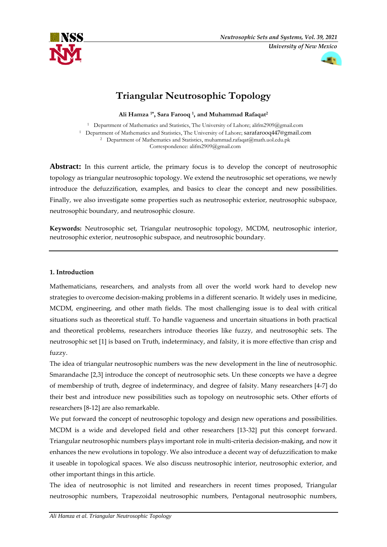



# **Triangular Neutrosophic Topology**

**Ali Hamza 1\* , Sara Farooq <sup>1</sup> , and Muhammad Rafaqat 2**

<sup>1</sup> Department of Mathematics and Statistics, The University of Lahore; alifm2909@gmail.com <sup>1</sup> Department of Mathematics and Statistics, The University of Lahore; sarafarooq447@gmail.com <sup>2</sup> Department of Mathematics and Statistics, muhammad.rafaqat@math.uol.edu.pk Correspondence: alifm2909@gmail.com

Abstract: In this current article, the primary focus is to develop the concept of neutrosophic topology as triangular neutrosophic topology. We extend the neutrosophic set operations, we newly introduce the defuzzification, examples, and basics to clear the concept and new possibilities. Finally, we also investigate some properties such as neutrosophic exterior, neutrosophic subspace, neutrosophic boundary, and neutrosophic closure.

**Keywords:** Neutrosophic set, Triangular neutrosophic topology, MCDM, neutrosophic interior, neutrosophic exterior, neutrosophic subspace, and neutrosophic boundary.

### **1. Introduction**

Mathematicians, researchers, and analysts from all over the world work hard to develop new strategies to overcome decision-making problems in a different scenario. It widely uses in medicine, MCDM, engineering, and other math fields. The most challenging issue is to deal with critical situations such as theoretical stuff. To handle vagueness and uncertain situations in both practical and theoretical problems, researchers introduce theories like fuzzy, and neutrosophic sets. The neutrosophic set [1] is based on Truth, indeterminacy, and falsity, it is more effective than crisp and fuzzy.

The idea of triangular neutrosophic numbers was the new development in the line of neutrosophic. Smarandache [2,3] introduce the concept of neutrosophic sets. Un these concepts we have a degree of membership of truth, degree of indeterminacy, and degree of falsity. Many researchers [4-7] do their best and introduce new possibilities such as topology on neutrosophic sets. Other efforts of researchers [8-12] are also remarkable.

We put forward the concept of neutrosophic topology and design new operations and possibilities. MCDM is a wide and developed field and other researchers [13-32] put this concept forward. Triangular neutrosophic numbers plays important role in multi-criteria decision-making, and now it enhances the new evolutions in topology. We also introduce a decent way of defuzzification to make it useable in topological spaces. We also discuss neutrosophic interior, neutrosophic exterior, and other important things in this article.

The idea of neutrosophic is not limited and researchers in recent times proposed, Triangular neutrosophic numbers, Trapezoidal neutrosophic numbers, Pentagonal neutrosophic numbers,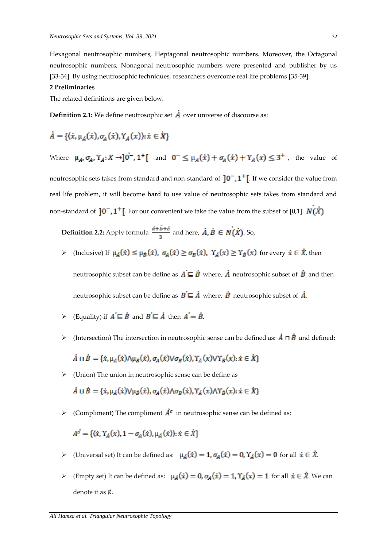Hexagonal neutrosophic numbers, Heptagonal neutrosophic numbers. Moreover, the Octagonal neutrosophic numbers, Nonagonal neutrosophic numbers were presented and publisher by us [33-34]. By using neutrosophic techniques, researchers overcome real life problems [35-39].

#### **2 Preliminaries**

The related definitions are given below.

**Definition 2.1:** We define neutrosophic set  $\vec{A}$  over universe of discourse as:

$$
\dot{A} = \{(\dot{x}, \mu_A(\dot{x}), \sigma_A(\dot{x}), Y_A(x)); \dot{x} \in \dot{X}\}
$$

Where  $\mu_A, \sigma_A, Y_A: X \to 0^{\circ}$ ,  $1^{\circ}$  and  $0^{\circ} \leq \mu_A(x) + \sigma_A(x) + Y_A(x) \leq 3^{\circ}$ , the value of

neutrosophic sets takes from standard and non-standard of  $]0^-,1^+[$ . If we consider the value from real life problem, it will become hard to use value of neutrosophic sets takes from standard and non-standard of  $[0^-, 1^+]$ . For our convenient we take the value from the subset of [0,1].  $N(X)$ .

**Definition 2.2:** Apply formula  $\frac{\vec{a} + \vec{b} + \vec{c}}{3}$  and here,  $\vec{A}, \vec{B} \in N(\vec{X})$ . So,

 $\triangleright$  (Inclusive) If  $\mu_{\hat{A}}(\dot{x}) \leq \mu_{\hat{B}}(\dot{x}), \sigma_{\hat{A}}(\dot{x}) \geq \sigma_{\hat{B}}(\dot{x}), \gamma_{\hat{A}}(x) \geq \gamma_{\hat{B}}(x)$  for every  $\dot{x} \in \dot{X}$ , then neutrosophic subset can be define as  $A \subseteq \overrightarrow{B}$  where,  $\overrightarrow{A}$  neutrosophic subset of  $\overrightarrow{B}$  and then

neutrosophic subset can be define as  $\vec{B} \subseteq \vec{A}$  where,  $\vec{B}$  neutrosophic subset of  $\vec{A}$ .

- Equality) if  $\vec{A} \sqsubseteq \vec{B}$  and  $\vec{B} \sqsubseteq \vec{A}$  then  $\vec{A} = \vec{B}$ .
- $\triangleright$  (Intersection) The intersection in neutrosophic sense can be defined as:  $\vec{A} \square \vec{B}$  and defined:

$$
\dot{A} \sqcap \dot{B} = \{\dot{x}, \mu_{\dot{A}}(\dot{x}) \wedge \mu_{\dot{B}}(\dot{x}), \sigma_{A}(\dot{x}) \vee \sigma_{B}(\dot{x}), Y_{\dot{A}}(x) \vee Y_{\dot{B}}(x) : \dot{x} \in \dot{X}\}\
$$

➢ (Union) The union in neutrosophic sense can be define as

 $\vec{A} \sqcup \vec{B} = \{\dot{x}, \mu_{\vec{A}}(\dot{x}) \vee \mu_{\vec{B}}(\dot{x}), \sigma_{\vec{A}}(\dot{x}) \wedge \sigma_{\vec{B}}(\dot{x}), Y_{\vec{A}}(x) \wedge Y_{\vec{B}}(x) : \dot{x} \in \dot{X}\}\$ 

 $\triangleright$  (Compliment) The compliment  $\overrightarrow{A}^c$  in neutrosophic sense can be defined as:

$$
A^{c'} = \{ \langle \dot{x}, Y_A(x), 1 - \sigma_A(\dot{x}), \mu_A(\dot{x}) \rangle : \dot{x} \in \dot{X} \}
$$

- $\triangleright$  (Universal set) It can be defined as:  $\mu_{\hat{A}}(\dot{x}) = 1$ ,  $\sigma_{A}(\dot{x}) = 0$ ,  $\Upsilon_{\hat{A}}(x) = 0$  for all  $\dot{x} \in \dot{X}$ .
- $\triangleright$  (Empty set) It can be defined as:  $\mu_A(\dot{x}) = 0$ ,  $\sigma_A(\dot{x}) = 1$ ,  $\Upsilon_A(x) = 1$  for all  $\dot{x} \in \dot{X}$ . We can denote it as ∅.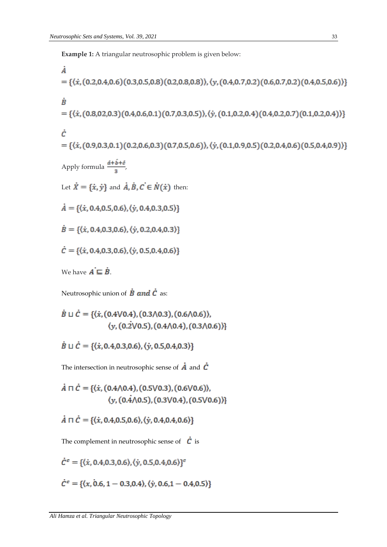**Example 1:** A triangular neutrosophic problem is given below:

$$
\dot{A} = \{(\dot{x}, (0.2, 0.4, 0.6)(0.3, 0.5, 0.8)(0.2, 0.8, 0.8)), (\dot{y}, (0.4, 0.7, 0.2)(0.6, 0.7, 0.2)(0.4, 0.5, 0.6))\}
$$
\n
$$
\dot{B} = \{(\dot{x}, (0.8, 0.2, 0.3)(0.4, 0.6, 0.1)(0.7, 0.3, 0.5)), (\dot{y}, (0.1, 0.2, 0.4)(0.4, 0.2, 0.7)(0.1, 0.2, 0.4))\}
$$
\n
$$
\dot{C} = \{(\dot{x}, (0.9, 0.3, 0.1)(0.2, 0.6, 0.3)(0.7, 0.5, 0.6)), (\dot{y}, (0.1, 0.9, 0.5)(0.2, 0.4, 0.6)(0.5, 0.4, 0.9))\}
$$
\nApply formula  $\frac{\dot{a} + \dot{b} + \dot{c}}{3}$ ,  
\nLet  $\dot{X} = \{\dot{x}, \dot{y}\}$  and  $\dot{A}, \dot{B}, \dot{C} \in \dot{N}(\dot{x})$  then:  
\n
$$
\dot{A} = \{(\dot{x}, 0.4, 0.5, 0.6), (\dot{y}, 0.4, 0.3, 0.5)\}
$$
\n
$$
\dot{B} = \{(\dot{x}, 0.4, 0.3, 0.6), (\dot{y}, 0.2, 0.4, 0.3)\}
$$
\n
$$
\dot{C} = \{(\dot{x}, 0.4, 0.3, 0.6), (\dot{y}, 0.5, 0.4, 0.6)\}
$$
\nWe have  $A = \dot{B}$ .

Neutrosophic union of  $\dot{B}$  and  $\dot{C}$  as:

$$
\dot{B} \sqcup \dot{C} = \{ \langle \dot{x}, (0.4 \lor 0.4), (0.3 \land 0.3), (0.6 \land 0.6) \rangle, \\ \langle y, (0.2 \lor 0.5), (0.4 \land 0.4), (0.3 \land 0.6) \rangle \}
$$

 $\dot{B} \sqcup \dot{C} = \{ \langle \dot{x}, 0.4, 0.3, 0.6 \rangle, \langle \dot{y}, 0.5, 0.4, 0.3 \rangle \}$ 

The intersection in neutrosophic sense of  $\vec{A}$  and  $\vec{C}$ 

$$
\dot{A} \sqcap \dot{C} = \{(\dot{x}, (0.4 \land 0.4), (0.5 \lor 0.3), (0.6 \lor 0.6)),
$$
  

$$
\langle y, (0.4 \land 0.5), (0.3 \lor 0.4), (0.5 \lor 0.6))\}
$$

$$
\dot{A} \sqcap \dot{C} = \{(\dot{x}, 0.4, 0.5, 0.6), (\dot{y}, 0.4, 0.4, 0.6)\}
$$

The complement in neutrosophic sense of  $\dot{c}$  is

$$
\dot{C}^c = \{ \langle \dot{x}, 0.4, 0.3, 0.6 \rangle, \langle \dot{y}, 0.5, 0.4, 0.6 \rangle \}^c
$$
  

$$
\dot{C}^c = \{ \langle x, 0.6, 1 - 0.3, 0.4 \rangle, \langle \dot{y}, 0.6, 1 - 0.4, 0.5 \rangle \}
$$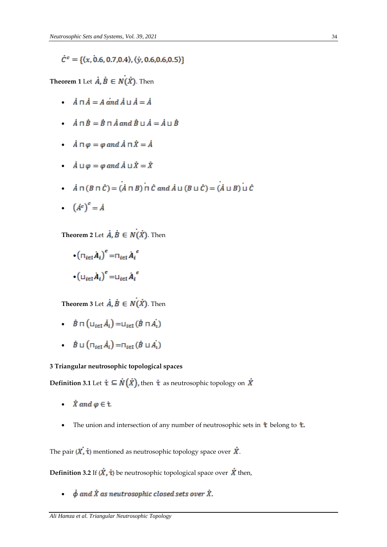$\dot{C}^c = \{ \langle x, 0.6, 0.7, 0.4 \rangle, \langle \dot{y}, 0.6, 0.6, 0.5 \rangle \}$ 

**Theorem 1** Let  $\dot{A}$ ,  $\dot{B} \in N(X)$ . Then

- $\dot{A} \sqcap \dot{A} = A \text{ and } \dot{A} \sqcup \dot{A} = \dot{A}$
- $\dot{A} \sqcap \dot{B} = \dot{B} \sqcap \dot{A}$  and  $\dot{B} \sqcup \dot{A} = \dot{A} \sqcup \dot{B}$
- $\dot{A} \sqcap \varphi = \varphi$  and  $\dot{A} \sqcap \dot{X} = \dot{A}$
- $\dot{A} \sqcup \varphi = \varphi$  and  $\dot{A} \sqcup \dot{X} = \dot{X}$
- $\dot{A} \sqcap (B \sqcap \dot{C}) = (\dot{A} \sqcap B) \sqcap \dot{C}$  and  $\dot{A} \sqcup (B \sqcup \dot{C}) = (\dot{A} \sqcup B) \sqcup \dot{C}$
- $(\dot{A}^c)^c = \dot{A}$
- **Theorem 2** Let  $\vec{A}, \vec{B} \in N(X)$ . Then
	- $\cdot$   $\left(\prod_{i\in I}\dot{A}_i\right)^c = \prod_{i\in I}\dot{A}_i^c$  $\bullet \left( \sqcup_{i\in I} \dot{A}_i \right)^c = \sqcup_{i\in I} \dot{A}_i^c$

**Theorem 3** Let  $\overrightarrow{A}$ ,  $\overrightarrow{B} \in N(\overrightarrow{X})$ . Then

- $\dot{B} \sqcap (\sqcup_{i \in I} \dot{A}_i) = \sqcup_{i \in I} (\dot{B} \sqcap \dot{A}_i)$
- $\dot{B} \sqcup (\sqcap_{i \in I} \dot{A}_i) = \sqcap_{i \in I} (\dot{B} \sqcup \dot{A}_i)$

#### **3 Triangular neutrosophic topological spaces**

**Definition 3.1** Let  $\dot{\tau} \subseteq \dot{N}(\dot{X})$ , then  $\dot{\tau}$  as neutrosophic topology on  $\dot{X}$ 

- $\dot{X}$  and  $\varphi \in \dot{\tau}$ .
- The union and intersection of any number of neutrosophic sets in  $\dot{\mathbf{t}}$  belong to  $\dot{\mathbf{t}}$ .

The pair  $(X, \dot{\tau})$  mentioned as neutrosophic topology space over  $\dot{X}$ .

**Definition 3.2** If  $(\vec{X}, \dot{\tau})$  be neutrosophic topological space over  $\vec{X}$  then,

 $\dot{\phi}$  and  $\dot{X}$  as neutrosophic closed sets over  $\dot{X}$ . •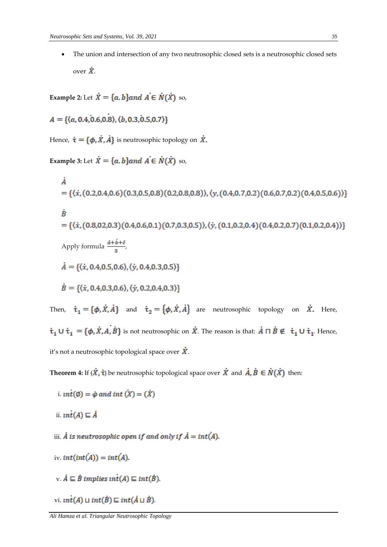• The union and intersection of any two neutrosophic closed sets is a neutrosophic closed sets over  $\dot{X}$ .

**Example 2:** Let  $\dot{X} = \{a, b\}$  and  $\dot{A} \in \dot{N}(\dot{X})$  so,

 $A = \{(a, 0.4, 0.6, 0.8), (b, 0.3, 0.5, 0.7)\}\$ 

Hence,  $\dot{\mathbf{t}} = {\phi, \dot{X}, \dot{A}}$  is neutrosophic topology on  $\dot{X}$ .

**Example 3:** Let  $\dot{X} = \{a, b\}$  and  $\dot{A} \in \dot{N}(\dot{X})$  so,

À = { $\langle \dot{x}, (0.2, 0.4, 0.6), (0.3, 0.5, 0.8), (0.2, 0.8, 0.8), (\dot{y}, (0.4, 0.7, 0.2), (0.6, 0.7, 0.2), (0.4, 0.5, 0.6) \rangle$ }  $\dot{B}$  $=\{\langle \dot{x}, (0.8,0.2,0.3)(0.4,0.6,0.1)(0.7,0.3,0.5) \rangle, \langle \dot{y}, (0.1,0.2,0.4)(0.4,0.2,0.7)(0.1,0.2,0.4) \rangle\}$ Apply formula  $\frac{\vec{a} + \vec{b} + \vec{c}}{2}$ ,  $\dot{A} = \{(\dot{x}, 0.4.0.5.0.6), (\dot{y}, 0.4.0.3.0.5)\}\$  $\dot{B} = \{ \langle \dot{x}, 0.4, 0.3, 0.6 \rangle, \langle \dot{y}, 0.2, 0.4, 0.3 \rangle \}$ Then,  $\dot{\tau}_1 = {\phi, \dot{x}, \dot{A}}$  and  $\dot{\tau}_2 = {\phi, \dot{x}, \dot{A}}$  are neutrosophic topology on  $\dot{X}$ . Here,  $\dot{\tau}_1 \cup \dot{\tau}_1 = {\phi, \dot{x}, A, \dot{B}}$  is not neutrosophic on  $\dot{X}$ . The reason is that:  $\dot{A} \cap \dot{B} \notin \dot{\tau}_1 \cup \dot{\tau}_1$ . Hence,

it's not a neutrosophic topological space over  $\dot{X}$ .

**Theorem 4:** If  $(\dot{X}, \dot{\tau})$  be neutrosophic topological space over  $\dot{X}$  and  $\dot{A}, \dot{B} \in \dot{N}(\dot{X})$  then:

- i.  $\text{int}(\emptyset) = \dot{\varphi}$  and  $\text{int}(\dot{X}) = (\dot{X})$
- ii.  $int(A) \sqsubseteq \dot{A}$

iii. A is neutrosophic open if and only if  $\dot{A} = int(\dot{A})$ .

- iv.  $int(int(A)) = int(A)$ .
- v.  $\dot{A} \subseteq \dot{B}$  implies  $\text{int}(A) \subseteq \text{int}(\dot{B})$ .
- vi.  $int(A) \sqcup int(\dot{B}) \sqsubseteq int(\dot{A} \sqcup \dot{B})$ .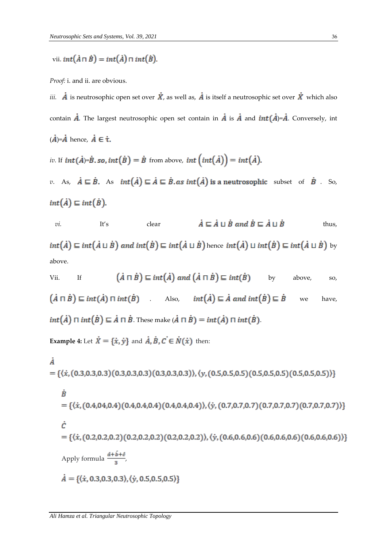vii.  $int(\overrightarrow{A} \cap \overrightarrow{B}) = int(\overrightarrow{A}) \cap int(\overrightarrow{B})$ .

*Proof:* i. and ii. are obvious.

*iii.*  $\vec{A}$  is neutrosophic open set over  $\vec{X}$ , as well as,  $\vec{A}$  is itself a neutrosophic set over  $\vec{X}$  which also contain  $\vec{A}$ . The largest neutrosophic open set contain in  $\vec{A}$  is  $\vec{A}$  and  $int(\vec{A})=\vec{A}$ . Conversely, int  $(\dot{A}) = \dot{A}$  hence,  $\dot{A} \in \dot{\tau}$ .

*iv.* If  $int(\dot{A}) = \dot{B}$ , so,  $int(\dot{B}) = \dot{B}$  from above,  $int (int(\dot{A})) = int(\dot{A})$ .

*v*. As,  $\dot{A} \subseteq \dot{B}$ . As  $int(\dot{A}) \subseteq \dot{A} \subseteq \dot{B}$  *as int* $(\dot{A})$  is a neutrosophic subset of  $\dot{B}$ . So,  $int(\dot{A}) \sqsubseteq int(\dot{B}).$ 

*vi.* It's clear  $\dot{A} \sqsubseteq \dot{A} \sqcup \dot{B}$  and  $\dot{B} \sqsubseteq \dot{A} \sqcup \dot{B}$  thus,  $int(\dot{A}) \sqsubseteq int(\dot{A} \sqcup \dot{B})$  and  $int(\dot{B}) \sqsubseteq int(\dot{A} \sqcup \dot{B})$  hence  $int(\dot{A}) \sqcup int(\dot{B}) \sqsubseteq int(\dot{A} \sqcup \dot{B})$  by above.

Vii. If 
$$
(\dot{A} \cap \dot{B}) \sqsubseteq int(\dot{A})
$$
 and  $(\dot{A} \cap \dot{B}) \sqsubseteq int(\dot{B})$  by above, so,  
\n $(\dot{A} \cap \dot{B}) \sqsubseteq int(\dot{A}) \sqcap int(\dot{B})$ . Also,  $int(\dot{A}) \sqsubseteq \dot{A}$  and  $int(\dot{B}) \sqsubseteq \dot{B}$  we have,  
\n $int(\dot{A}) \sqcap int(\dot{B}) \sqsubseteq \dot{A} \sqcap \dot{B}$ . These make  $(\dot{A} \sqcap \dot{B}) = int(\dot{A}) \sqcap int(\dot{B})$ .

**Example 4:** Let  $\dot{X} = {\{\dot{x}, \dot{y}\}}$  and  $\dot{A}, \dot{B}, \dot{C} \in \dot{N}(\dot{x})$  then:

ċ

$$
\begin{aligned}\n\dot{A} &= \{ \langle \dot{x}, (0.3, 0.3, 0.3)(0.3, 0.3, 0.3)(0.3, 0.3, 0.3) \rangle, \langle y, (0.5, 0.5, 0.5)(0.5, 0.5, 0.5)(0.5, 0.5, 0.5) \rangle \} \\
\dot{B} &= \{ \langle \dot{x}, (0.4, 0.4, 0.4)(0.4, 0.4, 0.4)(0.4, 0.4, 0.4) \rangle, \langle \dot{y}, (0.7, 0.7, 0.7)(0.7, 0.7, 0.7)(0.7, 0.7, 0.7) \rangle \} \\
\dot{C} &= \{ \langle \dot{x}, (0.2, 0.2, 0.2)(0.2, 0.2, 0.2)(0.2, 0.2, 0.2)) \rangle, \langle \dot{y}, (0.6, 0.6, 0.6)(0.6, 0.6, 0.6)(0.6, 0.6, 0.6) \rangle \} \\
\text{Apply formula } \frac{\dot{a} + \dot{b} + \dot{c}}{3}, \\
\dot{A} &= \{ \langle \dot{x}, 0.3, 0.3, 0.3 \rangle, \langle \dot{y}, 0.5, 0.5, 0.5 \rangle \} \n\end{aligned}
$$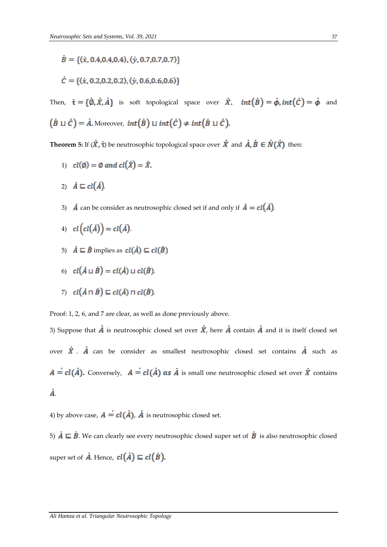$$
B = \{ \langle \dot{x}, 0.4, 0.4, 0.4 \rangle, \langle \dot{y}, 0.7, 0.7, 0.7 \rangle \}
$$

$$
\dot{C} = \{ \langle \dot{x}, 0.2, 0.2, 0.2 \rangle, \langle \dot{y}, 0.6, 0.6, 0.6 \rangle \}
$$

Then,  $\dot{\tau} = {\dot{\phi}, \dot{x}, \dot{A}}$  is soft topological space over  $\dot{x}$ .  $int(\dot{B}) = \dot{\phi}$ ,  $int(\dot{C}) = \dot{\phi}$  and  $(\dot{B} \cup \dot{C}) = \dot{A}$ . Moreover,  $int(\dot{B}) \cup int(\dot{C}) \neq int(\dot{B} \cup \dot{C})$ .

**Theorem 5:** If  $(\dot{X}, \dot{\tau})$  be neutrosophic topological space over  $\dot{X}$  and  $\dot{A}, \dot{B} \in \dot{N}(\dot{X})$  then:

1) 
$$
cl(\emptyset) = \emptyset
$$
 and  $cl(\dot{X}) = \dot{X}$ .

- 2)  $\dot{A} \sqsubseteq cl(\dot{A})$
- 3)  $\vec{A}$  can be consider as neutrosophic closed set if and only if  $\vec{A} = cl(\vec{A})$ .
- 4)  $cl(cl(A)) = cl(A)$ .
- 5)  $\dot{A} \subseteq \dot{B}$  implies as  $\text{cl}(\dot{A}) \subseteq \text{cl}(\dot{B})$
- 6)  $cl(\dot{A} \sqcup \dot{B}) = cl(\dot{A}) \sqcup cl(\dot{B})$ .
- 7)  $cl(\dot{A} \sqcap \dot{B}) \sqsubseteq cl(\dot{A}) \sqcap cl(\dot{B})$ .

Proof: 1, 2, 6, and 7 are clear, as well as done previously above.

3) Suppose that  $\vec{A}$  is neutrosophic closed set over  $\vec{X}$ , here  $\vec{A}$  contain  $\vec{A}$  and it is itself closed set over  $\dot{X}$ .  $\dot{A}$  can be consider as smallest neutrosophic closed set contains  $\dot{A}$  such as  $A = cl(\dot{A})$ . Conversely,  $A = cl(\dot{A})$  as  $\dot{A}$  is small one neutrosophic closed set over  $\dot{X}$  contains Å.

4) by above case,  $A = cl(\dot{A})$ ,  $\dot{A}$  is neutrosophic closed set.

5)  $\dot{A} \subseteq \dot{B}$ . We can clearly see every neutrosophic closed super set of  $\dot{B}$  is also neutrosophic closed super set of  $\dot{A}$ . Hence,  $\text{cl}(\dot{A}) \sqsubseteq \text{cl}(\dot{B})$ .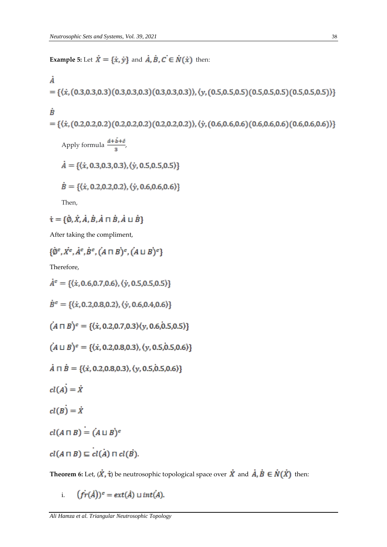**Example 5:** Let  $\dot{X} = {\{\dot{x}, \dot{y}\}}$  and  $\dot{A}, \dot{B}, \dot{C} \in \dot{N}(\dot{x})$  then:

$$
\begin{aligned}\n\dot{A} \\
&= \{ \langle \dot{x}, (0.3, 0.3, 0.3), (0.3, 0.3, 0.3), (0.3, 0.3, 0.3), \langle y, (0.5, 0.5, 0.5), (0.5, 0.5, 0.5), (0.5, 0.5, 0.5) \rangle \} \\
\dot{B} \\
&= \{ \langle \dot{x}, (0.2, 0.2, 0.2), (0.2, 0.2, 0.2), (0.2, 0.2, 0.2), \langle \dot{y}, (0.6, 0.6, 0.6), (0.6, 0.6, 0.6), (0.6, 0.6, 0.6) \rangle \} \\
\text{Apply formula } \frac{\dot{a} + \dot{b} + \dot{c}}{3}, \\
\dot{A} &= \{ \langle \dot{x}, 0.3, 0.3, 0.3 \rangle, \langle \dot{y}, 0.5, 0.5, 0.5 \rangle \} \\
\dot{B} &= \{ \langle \dot{x}, 0.2, 0.2, 0.2 \rangle, \langle \dot{y}, 0.6, 0.6, 0.6 \rangle \} \\
\text{Then,} \\
\dot{\mathbf{t}} &= \{ \dot{\mathbf{0}}, \dot{\mathbf{X}}, \dot{\mathbf{A}}, \dot{\mathbf{B}}, \dot{\mathbf{A}} \cap \dot{\mathbf{B}}, \dot{\mathbf{A}} \cup \dot{\mathbf{B}} \} \\
\end{aligned}
$$

After taking the compliment,

$$
\{\phi^c, X^c, A^c, B^c, (A \sqcap B)^c, (A \sqcup B)^c\}
$$

Therefore,

 $\dot{A}^c = \{ \langle \dot{x}, 0.6, 0.7, 0.6 \rangle, \langle \dot{y}, 0.5, 0.5, 0.5 \rangle \}$  $\dot{B}^c = \{ \langle \dot{x}, 0.2, 0.8, 0.2 \rangle, \langle \dot{y}, 0.6, 0.4, 0.6 \rangle \}$  $(A \sqcap B)^c = \{ \langle \dot{x}, 0.2, 0.7, 0.3 \rangle \langle y, 0.6, 0.5, 0.5 \rangle \}$  $(A \sqcup B)^c = \{ \langle \dot{x}, 0.2, 0.8, 0.3 \rangle, \langle y, 0.5, 0.5, 0.6 \rangle \}$  $\dot{A} \sqcap \dot{B} = \{ \langle \dot{x}, 0.2, 0.8, 0.3 \rangle, \langle y, 0.5, 0.5, 0.6 \rangle \}$  $cl(A) = \dot{X}$  $cl(B) = \dot{X}$  $cl(A \sqcap B) = (A \sqcup B)^c$  $cl(A \sqcap B) \sqsubseteq cl(A) \sqcap cl(B)$ .

**Theorem 6:** Let,  $(\dot{X}, \dot{\tau})$  be neutrosophic topological space over  $\dot{X}$  and  $\dot{A}, \dot{B} \in \dot{N}(\dot{X})$  then:

 $(fr(\dot{A}))^c = ext(\dot{A}) \sqcup int(\dot{A}).$ i.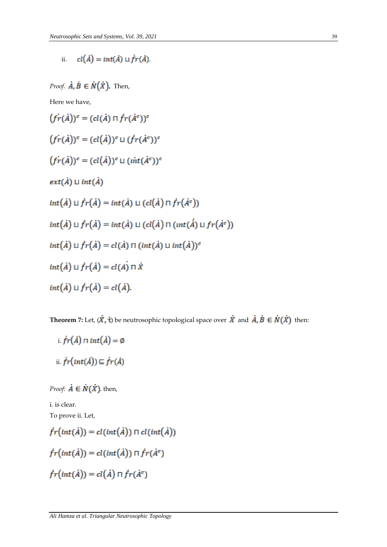ii.  $cl(\dot{A}) = int(\dot{A}) \sqcup \dot{fr}(\dot{A})$ 

*Proof.*  $\dot{A}$ ,  $\dot{B} \in \dot{N}(\dot{X})$ . Then,

Here we have,

 $(f\dot{r}(\dot{A}))^c = (cl(\dot{A}) \sqcap \dot{f}r(\dot{A}^c))^c$  $(f\dot{r}(\dot{A}))^c = (cl(\dot{A}))^c \sqcup (fr(\dot{A}^c))^c$  $(f\dot{r}(\dot{A}))^c = (cl(\dot{A}))^c \sqcup (int(\dot{A}^c))^c$  $ext(\dot{A}) \sqcup int(\dot{A})$  $int(\dot{A}) \sqcup \dot{fr}(\dot{A}) = int(\dot{A}) \sqcup (cl(\dot{A}) \sqcap \dot{fr}(\dot{A}^c))$  $int(\dot{A}) \sqcup \dot{fr}(\dot{A}) = int(\dot{A}) \sqcup (cl(\dot{A}) \sqcap (int(\dot{A}) \sqcup fr(\dot{A}^c))$  $int(\dot{A}) \sqcup \dot{fr}(\dot{A}) = cl(\dot{A}) \sqcap (int(\dot{A}) \sqcup int(\dot{A}))^c$  $int(\vec{A}) \sqcup \vec{fr}(\vec{A}) = cl(\vec{A}) \sqcap \vec{X}$  $int(\dot{A}) \sqcup \dot{fr}(\dot{A}) = cl(\dot{A}).$ 

**Theorem 7:** Let,  $(\vec{X}, \dot{\tau})$  be neutrosophic topological space over  $\vec{X}$  and  $\vec{A}, \vec{B} \in \dot{N}(\vec{X})$  then:

i.  $\dot{fr}(\dot{A}) \sqcap int(\dot{A}) = \emptyset$ ii.  $\dot{fr}(int(\dot{A})) \sqsubseteq \dot{fr}(\dot{A})$ 

*Proof:*  $\dot{A} \in \dot{N}(\dot{X})$ . then,

i. is clear.

To prove ii. Let,

$$
\dot{f}r(int(\dot{A})) = cl(int(\dot{A})) \sqcap cl(int(\dot{A}))
$$
\n
$$
\dot{f}r(int(\dot{A})) = cl(int(\dot{A})) \sqcap \dot{f}r(\dot{A}^c)
$$
\n
$$
\dot{f}r(int(\dot{A})) = cl(\dot{A}) \sqcap \dot{f}r(\dot{A}^c)
$$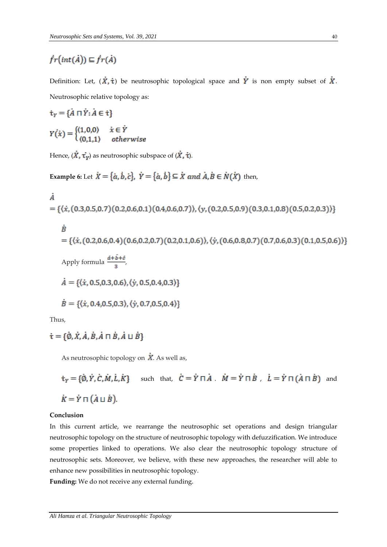# $\dot{fr}(int(\dot{A})) \sqsubseteq \dot{fr}(\dot{A})$

Definition: Let,  $(\dot{x}, \dot{\tau})$  be neutrosophic topological space and  $\dot{Y}$  is non empty subset of  $\dot{X}$ . Neutrosophic relative topology as:

$$
\dot{\tau}_Y = \{\dot{A} \cap \dot{Y} : \dot{A} \in \dot{\tau}\}
$$

$$
Y(\dot{x}) = \begin{cases} (1,0,0) & \dot{x} \in \dot{Y} \\ (0,1,1) & otherwise \end{cases}
$$

Hence,  $(\dot{X}, \dot{\tau_y})$  as neutrosophic subspace of  $(\dot{X}, \dot{\tau})$ .

**Example 6:** Let  $\dot{X} = {\dot{a}, \dot{b}, \dot{c}}$ ,  $\dot{Y} = {\dot{a}, \dot{b}} \subseteq \dot{X}$  and  $\dot{A}, \dot{B} \in \dot{N}(\dot{X})$  then,

$$
\dot{A} = \{(\dot{x}, (0.3, 0.5, 0.7)(0.2, 0.6, 0.1)(0.4, 0.6, 0.7)), (\dot{y}, (0.2, 0.5, 0.9)(0.3, 0.1, 0.8)(0.5, 0.2, 0.3))\}
$$

\n
$$
B = \{ \langle \dot{x}, (0.2, 0.6, 0.4), (0.6, 0.2, 0.7), (0.2, 0.1, 0.6), \langle \dot{y}, (0.6, 0.8, 0.7), (0.7, 0.6, 0.3), (0.1, 0.5, 0.6) \rangle \}
$$
\n

\n\n
$$
A = \{ \langle \dot{x}, 0.5, 0.3, 0.6 \rangle, \langle \dot{y}, 0.5, 0.4, 0.3 \rangle \}
$$
\n

\n\n
$$
\dot{B} = \{ \langle \dot{x}, 0.4, 0.5, 0.3 \rangle, \langle \dot{y}, 0.7, 0.5, 0.4 \rangle \}
$$
\n

Thus,

 $\dot{\tau} = {\dot{\alpha}, \dot{x}, \dot{A}, \dot{B}, \dot{A} \cap \dot{B}, \dot{A} \sqcup \dot{B}}$ 

As neutrosophic topology on  $\dot{X}$ . As well as,

$$
\dot{\mathbf{r}}_Y = \{\dot{\emptyset}, \dot{Y}, \dot{C}, \dot{M}, \dot{L}, \dot{K}\}
$$
 such that,  $\dot{C} = \dot{Y} \sqcap \dot{A}$ .  $\dot{M} = \dot{Y} \sqcap \dot{B}$ ,  $\dot{L} = \dot{Y} \sqcap (\dot{A} \sqcap \dot{B})$  and  $\dot{K} = \dot{Y} \sqcap (\dot{A} \sqcup \dot{B})$ .

### **Conclusion**

In this current article, we rearrange the neutrosophic set operations and design triangular neutrosophic topology on the structure of neutrosophic topology with defuzzification. We introduce some properties linked to operations. We also clear the neutrosophic topology structure of neutrosophic sets. Moreover, we believe, with these new approaches, the researcher will able to enhance new possibilities in neutrosophic topology.

**Funding:** We do not receive any external funding.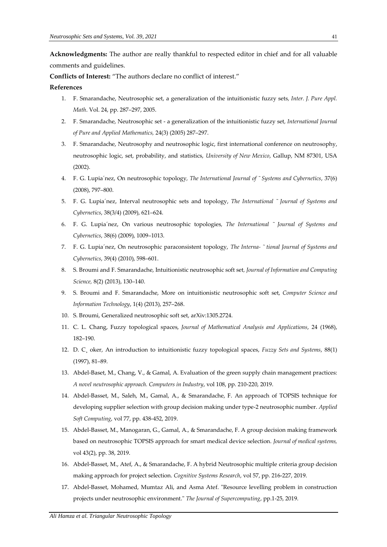**Acknowledgments:** The author are really thankful to respected editor in chief and for all valuable comments and guidelines.

**Conflicts of Interest:** "The authors declare no conflict of interest."

#### **References**

- 1. F. Smarandache, Neutrosophic set, a generalization of the intuitionistic fuzzy sets*, Inter. J. Pure Appl. Math*. Vol. 24, pp. 287–297, 2005.
- 2. F. Smarandache, Neutrosophic set a generalization of the intuitionistic fuzzy set*, International Journal of Pure and Applied Mathematics,* 24(3) (2005) 287–297.
- 3. F. Smarandache, Neutrosophy and neutrosophic logic, first international conference on neutrosophy, neutrosophic logic, set, probability, and statistics, *University of New Mexico*, Gallup, NM 87301, USA (2002).
- 4. F. G. Lupia´nez, On neutrosophic topology*, The International Journal of ˜ Systems and Cybernetics*, 37(6) (2008), 797–800.
- 5. F. G. Lupia´nez, Interval neutrosophic sets and topology, *The International ˜ Journal of Systems and Cybernetics*, 38(3/4) (2009), 621–624.
- 6. F. G. Lupia´nez, On various neutrosophic topologies*, The International ˜ Journal of Systems and Cybernetics*, 38(6) (2009), 1009–1013.
- 7. F. G. Lupia´nez, On neutrosophic paraconsistent topology, *The Interna- ˜ tional Journal of Systems and Cybernetics*, 39(4) (2010), 598–601.
- 8. S. Broumi and F. Smarandache, Intuitionistic neutrosophic soft set*, Journal of Information and Computing Science,* 8(2) (2013), 130–140.
- 9. S. Broumi and F. Smarandache, More on intuitionistic neutrosophic soft set, *Computer Science and Information Technology*, 1(4) (2013), 257–268.
- 10. S. Broumi, Generalized neutrosophic soft set, arXiv:1305.2724.
- 11. C. L. Chang, Fuzzy topological spaces, *Journal of Mathematical Analysis and Applications*, 24 (1968), 182–190.
- 12. D. C¸ oker, An introduction to intuitionistic fuzzy topological spaces, *Fuzzy Sets and Systems*, 88(1) (1997), 81–89.
- 13. Abdel-Baset, M., Chang, V., & Gamal, A. Evaluation of the green supply chain management practices: *A novel neutrosophic approach. Computers in Industry*, vol 108, pp. 210-220, 2019.
- 14. Abdel-Basset, M., Saleh, M., Gamal, A., & Smarandache, F. An approach of TOPSIS technique for developing supplier selection with group decision making under type-2 neutrosophic number. *Applied Soft Computing*, vol 77, pp. 438-452, 2019.
- 15. Abdel-Basset, M., Manogaran, G., Gamal, A., & Smarandache, F. A group decision making framework based on neutrosophic TOPSIS approach for smart medical device selection. *Journal of medical systems,* vol 43(2), pp. 38, 2019.
- 16. Abdel-Basset, M., Atef, A., & Smarandache, F. A hybrid Neutrosophic multiple criteria group decision making approach for project selection. *Cognitive Systems Research*, vol 57, pp. 216-227, 2019.
- 17. Abdel-Basset, Mohamed, Mumtaz Ali, and Asma Atef. "Resource levelling problem in construction projects under neutrosophic environment." *The Journal of Supercomputing*, pp.1-25, 2019.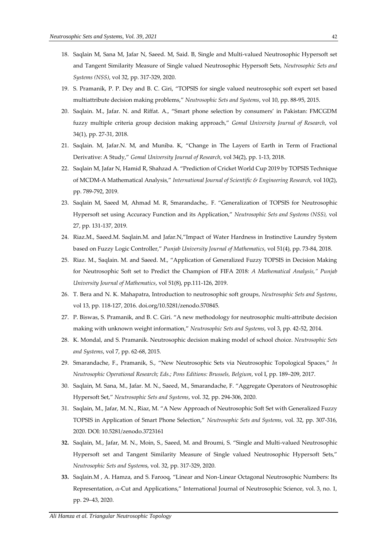- 18. Saqlain M, Sana M, Jafar N, Saeed. M, Said. B, Single and Multi-valued Neutrosophic Hypersoft set and Tangent Similarity Measure of Single valued Neutrosophic Hypersoft Sets, *Neutrosophic Sets and Systems (NSS)*, vol 32, pp. 317-329, 2020.
- 19. S. Pramanik, P. P. Dey and B. C. Giri, "TOPSIS for single valued neutrosophic soft expert set based multiattribute decision making problems," *Neutrosophic Sets and Systems*, vol 10, pp. 88-95, 2015.
- 20. Saqlain. M., Jafar. N. and Riffat. A., "Smart phone selection by consumers' in Pakistan: FMCGDM fuzzy multiple criteria group decision making approach," *Gomal University Journal of Research*, vol 34(1), pp. 27-31, 2018.
- 21. Saqlain. M, Jafar.N. M, and Muniba. K, "Change in The Layers of Earth in Term of Fractional Derivative: A Study," *Gomal University Journal of Research*, vol 34(2), pp. 1-13, 2018.
- 22. Saqlain M, Jafar N, Hamid R, Shahzad A. "Prediction of Cricket World Cup 2019 by TOPSIS Technique of MCDM-A Mathematical Analysis," *International Journal of Scientific & Engineering Research,* vol 10(2), pp. 789-792, 2019.
- 23. Saqlain M, Saeed M, Ahmad M. R, Smarandache,. F. "Generalization of TOPSIS for Neutrosophic Hypersoft set using Accuracy Function and its Application," *Neutrosophic Sets and Systems (NSS),* vol 27, pp. 131-137, 2019.
- 24. Riaz.M., Saeed.M. Saqlain.M. and Jafar.N,"Impact of Water Hardness in Instinctive Laundry System based on Fuzzy Logic Controller," *Punjab University Journal of Mathematics*, vol 51(4), pp. 73-84, 2018.
- 25. Riaz. M., Saqlain. M. and Saeed. M., "Application of Generalized Fuzzy TOPSIS in Decision Making for Neutrosophic Soft set to Predict the Champion of FIFA 2018*: A Mathematical Analysis," Punjab University Journal of Mathematics*, vol 51(8), pp.111-126, 2019.
- 26. T. Bera and N. K. Mahapatra, Introduction to neutrosophic soft groups*, Neutrosophic Sets and Systems*, vol 13, pp. 118-127, 2016. doi.org/10.5281/zenodo.570845.
- 27. P. Biswas, S. Pramanik, and B. C. Giri. "A new methodology for neutrosophic multi-attribute decision making with unknown weight information," *Neutrosophic Sets and Systems*, vol 3, pp. 42-52, 2014.
- 28. K. Mondal, and S. Pramanik. Neutrosophic decision making model of school choice. *Neutrosophic Sets and Systems*, vol 7, pp. 62-68, 2015.
- 29. Smarandache, F., Pramanik, S., "New Neutrosophic Sets via Neutrosophic Topological Spaces," *In Neutrosophic Operational Research; Eds.; Pons Editions: Brussels, Belgium*, vol I, pp. 189–209, 2017.
- 30. Saqlain, M. Sana, M., Jafar. M. N., Saeed, M., Smarandache, F. "Aggregate Operators of Neutrosophic Hypersoft Set," *Neutrosophic Sets and Systems*, vol. 32, pp. 294-306, 2020.
- 31. Saqlain, M., Jafar, M. N., Riaz, M. "A New Approach of Neutrosophic Soft Set with Generalized Fuzzy TOPSIS in Application of Smart Phone Selection," *Neutrosophic Sets and Systems*, vol. 32, pp. 307-316, 2020. DOI: 10.5281/zenodo.3723161
- **32.** Saqlain, M., Jafar, M. N., Moin, S., Saeed, M. and Broumi, S. "Single and Multi-valued Neutrosophic Hypersoft set and Tangent Similarity Measure of Single valued Neutrosophic Hypersoft Sets," *Neutrosophic Sets and System*s, vol. 32, pp. 317-329, 2020.
- **33.** Saqlain.M , A. Hamza, and S. Farooq, "Linear and Non-Linear Octagonal Neutrosophic Numbers: Its Representation,  $\alpha$ -Cut and Applications," International Journal of Neutrosophic Science, vol. 3, no. 1, pp. 29–43, 2020.